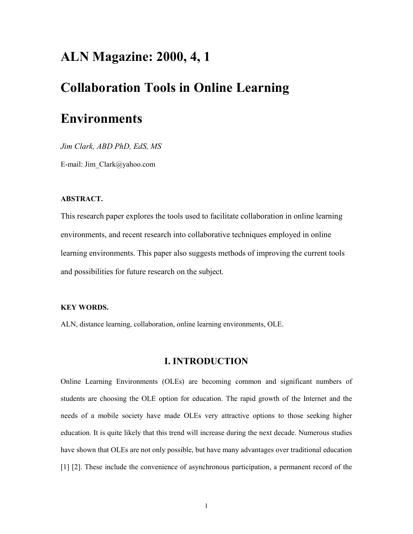## **ALN Magazine: 2000, 4, 1**

# **Collaboration Tools in Online Learning**

# **Environments**

*Jim Clark, ABD PhD, EdS, MS* 

E-mail: Jim\_Clark@yahoo.com

### **ABSTRACT.**

This research paper explores the tools used to facilitate collaboration in online learning environments, and recent research into collaborative techniques employed in online learning environments. This paper also suggests methods of improving the current tools and possibilities for future research on the subject.

#### **KEY WORDS.**

ALN, distance learning, collaboration, online learning environments, OLE.

### **I. INTRODUCTION**

Online Learning Environments (OLEs) are becoming common and significant numbers of students are choosing the OLE option for education. The rapid growth of the Internet and the needs of a mobile society have made OLEs very attractive options to those seeking higher education. It is quite likely that this trend will increase during the next decade. Numerous studies have shown that OLEs are not only possible, but have many advantages over traditional education [1] [2]. These include the convenience of asynchronous participation, a permanent record of the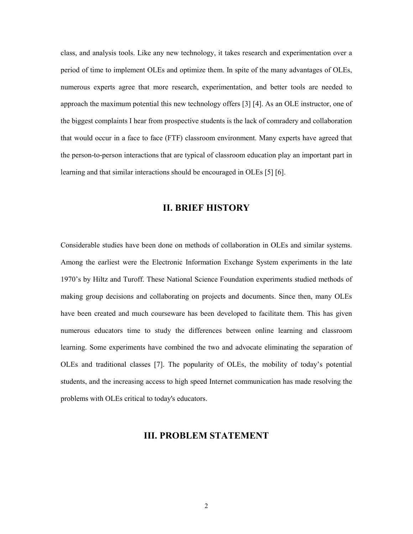class, and analysis tools. Like any new technology, it takes research and experimentation over a period of time to implement OLEs and optimize them. In spite of the many advantages of OLEs, numerous experts agree that more research, experimentation, and better tools are needed to approach the maximum potential this new technology offers [3] [4]. As an OLE instructor, one of the biggest complaints I hear from prospective students is the lack of comradery and collaboration that would occur in a face to face (FTF) classroom environment. Many experts have agreed that the person-to-person interactions that are typical of classroom education play an important part in learning and that similar interactions should be encouraged in OLEs [5] [6].

### **II. BRIEF HISTORY**

Considerable studies have been done on methods of collaboration in OLEs and similar systems. Among the earliest were the Electronic Information Exchange System experiments in the late 1970's by Hiltz and Turoff. These National Science Foundation experiments studied methods of making group decisions and collaborating on projects and documents. Since then, many OLEs have been created and much courseware has been developed to facilitate them. This has given numerous educators time to study the differences between online learning and classroom learning. Some experiments have combined the two and advocate eliminating the separation of OLEs and traditional classes [7]. The popularity of OLEs, the mobility of today's potential students, and the increasing access to high speed Internet communication has made resolving the problems with OLEs critical to today's educators.

### **III. PROBLEM STATEMENT**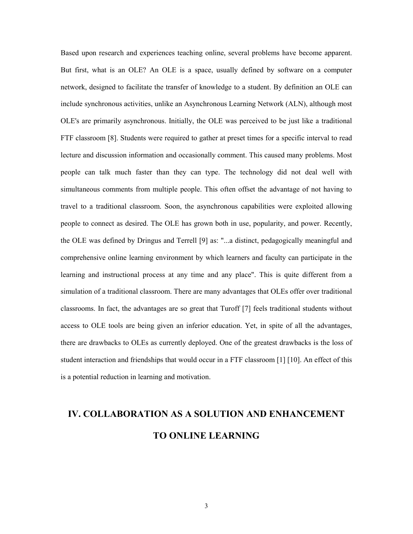Based upon research and experiences teaching online, several problems have become apparent. But first, what is an OLE? An OLE is a space, usually defined by software on a computer network, designed to facilitate the transfer of knowledge to a student. By definition an OLE can include synchronous activities, unlike an Asynchronous Learning Network (ALN), although most OLE's are primarily asynchronous. Initially, the OLE was perceived to be just like a traditional FTF classroom [8]. Students were required to gather at preset times for a specific interval to read lecture and discussion information and occasionally comment. This caused many problems. Most people can talk much faster than they can type. The technology did not deal well with simultaneous comments from multiple people. This often offset the advantage of not having to travel to a traditional classroom. Soon, the asynchronous capabilities were exploited allowing people to connect as desired. The OLE has grown both in use, popularity, and power. Recently, the OLE was defined by Dringus and Terrell [9] as: "...a distinct, pedagogically meaningful and comprehensive online learning environment by which learners and faculty can participate in the learning and instructional process at any time and any place". This is quite different from a simulation of a traditional classroom. There are many advantages that OLEs offer over traditional classrooms. In fact, the advantages are so great that Turoff [7] feels traditional students without access to OLE tools are being given an inferior education. Yet, in spite of all the advantages, there are drawbacks to OLEs as currently deployed. One of the greatest drawbacks is the loss of student interaction and friendships that would occur in a FTF classroom [1] [10]. An effect of this is a potential reduction in learning and motivation.

# **IV. COLLABORATION AS A SOLUTION AND ENHANCEMENT TO ONLINE LEARNING**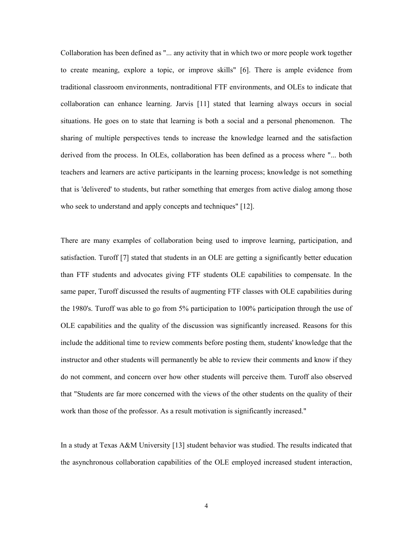Collaboration has been defined as "... any activity that in which two or more people work together to create meaning, explore a topic, or improve skills" [6]. There is ample evidence from traditional classroom environments, nontraditional FTF environments, and OLEs to indicate that collaboration can enhance learning. Jarvis [11] stated that learning always occurs in social situations. He goes on to state that learning is both a social and a personal phenomenon. The sharing of multiple perspectives tends to increase the knowledge learned and the satisfaction derived from the process. In OLEs, collaboration has been defined as a process where "... both teachers and learners are active participants in the learning process; knowledge is not something that is 'delivered' to students, but rather something that emerges from active dialog among those who seek to understand and apply concepts and techniques" [12].

There are many examples of collaboration being used to improve learning, participation, and satisfaction. Turoff [7] stated that students in an OLE are getting a significantly better education than FTF students and advocates giving FTF students OLE capabilities to compensate. In the same paper, Turoff discussed the results of augmenting FTF classes with OLE capabilities during the 1980's. Turoff was able to go from 5% participation to 100% participation through the use of OLE capabilities and the quality of the discussion was significantly increased. Reasons for this include the additional time to review comments before posting them, students' knowledge that the instructor and other students will permanently be able to review their comments and know if they do not comment, and concern over how other students will perceive them. Turoff also observed that "Students are far more concerned with the views of the other students on the quality of their work than those of the professor. As a result motivation is significantly increased."

In a study at Texas A&M University [13] student behavior was studied. The results indicated that the asynchronous collaboration capabilities of the OLE employed increased student interaction,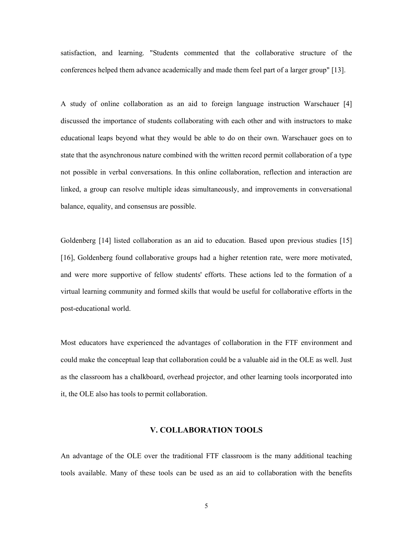satisfaction, and learning. "Students commented that the collaborative structure of the conferences helped them advance academically and made them feel part of a larger group" [13].

A study of online collaboration as an aid to foreign language instruction Warschauer [4] discussed the importance of students collaborating with each other and with instructors to make educational leaps beyond what they would be able to do on their own. Warschauer goes on to state that the asynchronous nature combined with the written record permit collaboration of a type not possible in verbal conversations. In this online collaboration, reflection and interaction are linked, a group can resolve multiple ideas simultaneously, and improvements in conversational balance, equality, and consensus are possible.

Goldenberg [14] listed collaboration as an aid to education. Based upon previous studies [15] [16], Goldenberg found collaborative groups had a higher retention rate, were more motivated, and were more supportive of fellow students' efforts. These actions led to the formation of a virtual learning community and formed skills that would be useful for collaborative efforts in the post-educational world.

Most educators have experienced the advantages of collaboration in the FTF environment and could make the conceptual leap that collaboration could be a valuable aid in the OLE as well. Just as the classroom has a chalkboard, overhead projector, and other learning tools incorporated into it, the OLE also has tools to permit collaboration.

### **V. COLLABORATION TOOLS**

An advantage of the OLE over the traditional FTF classroom is the many additional teaching tools available. Many of these tools can be used as an aid to collaboration with the benefits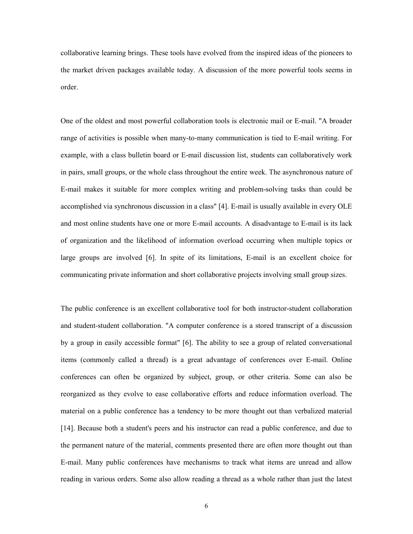collaborative learning brings. These tools have evolved from the inspired ideas of the pioneers to the market driven packages available today. A discussion of the more powerful tools seems in order.

One of the oldest and most powerful collaboration tools is electronic mail or E-mail. "A broader range of activities is possible when many-to-many communication is tied to E-mail writing. For example, with a class bulletin board or E-mail discussion list, students can collaboratively work in pairs, small groups, or the whole class throughout the entire week. The asynchronous nature of E-mail makes it suitable for more complex writing and problem-solving tasks than could be accomplished via synchronous discussion in a class" [4]. E-mail is usually available in every OLE and most online students have one or more E-mail accounts. A disadvantage to E-mail is its lack of organization and the likelihood of information overload occurring when multiple topics or large groups are involved [6]. In spite of its limitations, E-mail is an excellent choice for communicating private information and short collaborative projects involving small group sizes.

The public conference is an excellent collaborative tool for both instructor-student collaboration and student-student collaboration. "A computer conference is a stored transcript of a discussion by a group in easily accessible format" [6]. The ability to see a group of related conversational items (commonly called a thread) is a great advantage of conferences over E-mail. Online conferences can often be organized by subject, group, or other criteria. Some can also be reorganized as they evolve to ease collaborative efforts and reduce information overload. The material on a public conference has a tendency to be more thought out than verbalized material [14]. Because both a student's peers and his instructor can read a public conference, and due to the permanent nature of the material, comments presented there are often more thought out than E-mail. Many public conferences have mechanisms to track what items are unread and allow reading in various orders. Some also allow reading a thread as a whole rather than just the latest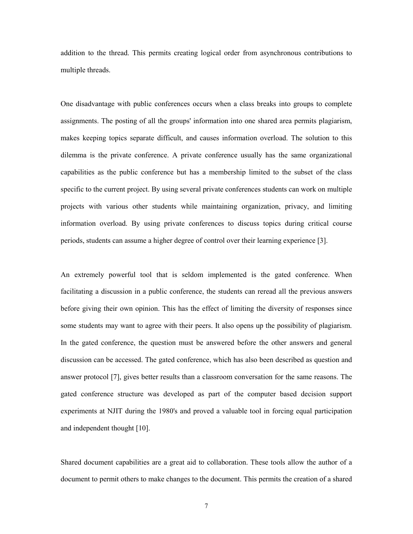addition to the thread. This permits creating logical order from asynchronous contributions to multiple threads.

One disadvantage with public conferences occurs when a class breaks into groups to complete assignments. The posting of all the groups' information into one shared area permits plagiarism, makes keeping topics separate difficult, and causes information overload. The solution to this dilemma is the private conference. A private conference usually has the same organizational capabilities as the public conference but has a membership limited to the subset of the class specific to the current project. By using several private conferences students can work on multiple projects with various other students while maintaining organization, privacy, and limiting information overload. By using private conferences to discuss topics during critical course periods, students can assume a higher degree of control over their learning experience [3].

An extremely powerful tool that is seldom implemented is the gated conference. When facilitating a discussion in a public conference, the students can reread all the previous answers before giving their own opinion. This has the effect of limiting the diversity of responses since some students may want to agree with their peers. It also opens up the possibility of plagiarism. In the gated conference, the question must be answered before the other answers and general discussion can be accessed. The gated conference, which has also been described as question and answer protocol [7], gives better results than a classroom conversation for the same reasons. The gated conference structure was developed as part of the computer based decision support experiments at NJIT during the 1980's and proved a valuable tool in forcing equal participation and independent thought [10].

Shared document capabilities are a great aid to collaboration. These tools allow the author of a document to permit others to make changes to the document. This permits the creation of a shared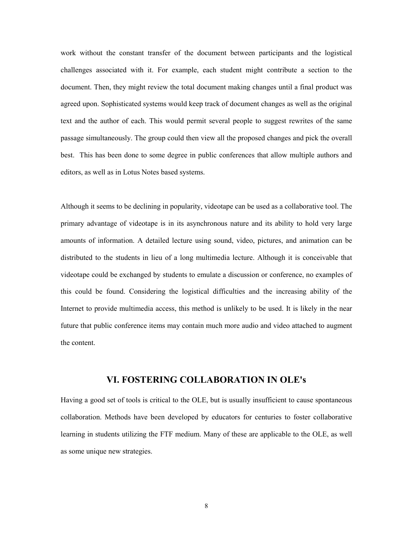work without the constant transfer of the document between participants and the logistical challenges associated with it. For example, each student might contribute a section to the document. Then, they might review the total document making changes until a final product was agreed upon. Sophisticated systems would keep track of document changes as well as the original text and the author of each. This would permit several people to suggest rewrites of the same passage simultaneously. The group could then view all the proposed changes and pick the overall best. This has been done to some degree in public conferences that allow multiple authors and editors, as well as in Lotus Notes based systems.

Although it seems to be declining in popularity, videotape can be used as a collaborative tool. The primary advantage of videotape is in its asynchronous nature and its ability to hold very large amounts of information. A detailed lecture using sound, video, pictures, and animation can be distributed to the students in lieu of a long multimedia lecture. Although it is conceivable that videotape could be exchanged by students to emulate a discussion or conference, no examples of this could be found. Considering the logistical difficulties and the increasing ability of the Internet to provide multimedia access, this method is unlikely to be used. It is likely in the near future that public conference items may contain much more audio and video attached to augment the content.

### **VI. FOSTERING COLLABORATION IN OLE's**

Having a good set of tools is critical to the OLE, but is usually insufficient to cause spontaneous collaboration. Methods have been developed by educators for centuries to foster collaborative learning in students utilizing the FTF medium. Many of these are applicable to the OLE, as well as some unique new strategies.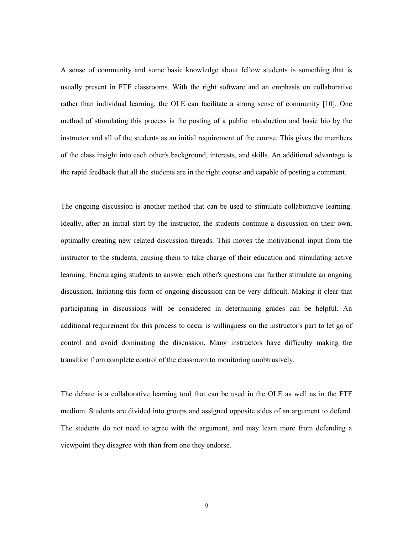A sense of community and some basic knowledge about fellow students is something that is usually present in FTF classrooms. With the right software and an emphasis on collaborative rather than individual learning, the OLE can facilitate a strong sense of community [10]. One method of stimulating this process is the posting of a public introduction and basic bio by the instructor and all of the students as an initial requirement of the course. This gives the members of the class insight into each other's background, interests, and skills. An additional advantage is the rapid feedback that all the students are in the right course and capable of posting a comment.

The ongoing discussion is another method that can be used to stimulate collaborative learning. Ideally, after an initial start by the instructor, the students continue a discussion on their own, optimally creating new related discussion threads. This moves the motivational input from the instructor to the students, causing them to take charge of their education and stimulating active learning. Encouraging students to answer each other's questions can further stimulate an ongoing discussion. Initiating this form of ongoing discussion can be very difficult. Making it clear that participating in discussions will be considered in determining grades can be helpful. An additional requirement for this process to occur is willingness on the instructor's part to let go of control and avoid dominating the discussion. Many instructors have difficulty making the transition from complete control of the classroom to monitoring unobtrusively.

The debate is a collaborative learning tool that can be used in the OLE as well as in the FTF medium. Students are divided into groups and assigned opposite sides of an argument to defend. The students do not need to agree with the argument, and may learn more from defending a viewpoint they disagree with than from one they endorse.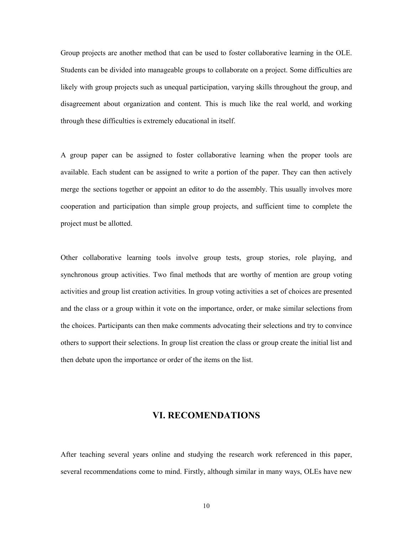Group projects are another method that can be used to foster collaborative learning in the OLE. Students can be divided into manageable groups to collaborate on a project. Some difficulties are likely with group projects such as unequal participation, varying skills throughout the group, and disagreement about organization and content. This is much like the real world, and working through these difficulties is extremely educational in itself.

A group paper can be assigned to foster collaborative learning when the proper tools are available. Each student can be assigned to write a portion of the paper. They can then actively merge the sections together or appoint an editor to do the assembly. This usually involves more cooperation and participation than simple group projects, and sufficient time to complete the project must be allotted.

Other collaborative learning tools involve group tests, group stories, role playing, and synchronous group activities. Two final methods that are worthy of mention are group voting activities and group list creation activities. In group voting activities a set of choices are presented and the class or a group within it vote on the importance, order, or make similar selections from the choices. Participants can then make comments advocating their selections and try to convince others to support their selections. In group list creation the class or group create the initial list and then debate upon the importance or order of the items on the list.

### **VI. RECOMENDATIONS**

After teaching several years online and studying the research work referenced in this paper, several recommendations come to mind. Firstly, although similar in many ways, OLEs have new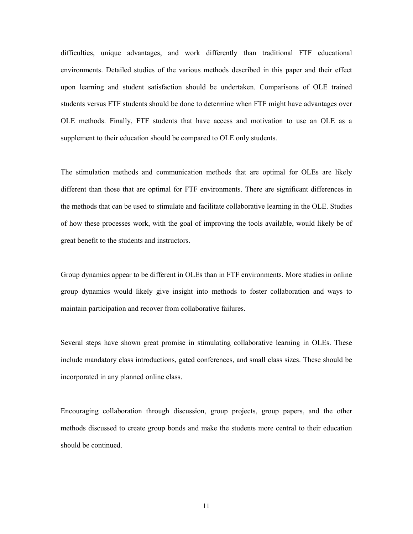difficulties, unique advantages, and work differently than traditional FTF educational environments. Detailed studies of the various methods described in this paper and their effect upon learning and student satisfaction should be undertaken. Comparisons of OLE trained students versus FTF students should be done to determine when FTF might have advantages over OLE methods. Finally, FTF students that have access and motivation to use an OLE as a supplement to their education should be compared to OLE only students.

The stimulation methods and communication methods that are optimal for OLEs are likely different than those that are optimal for FTF environments. There are significant differences in the methods that can be used to stimulate and facilitate collaborative learning in the OLE. Studies of how these processes work, with the goal of improving the tools available, would likely be of great benefit to the students and instructors.

Group dynamics appear to be different in OLEs than in FTF environments. More studies in online group dynamics would likely give insight into methods to foster collaboration and ways to maintain participation and recover from collaborative failures.

Several steps have shown great promise in stimulating collaborative learning in OLEs. These include mandatory class introductions, gated conferences, and small class sizes. These should be incorporated in any planned online class.

Encouraging collaboration through discussion, group projects, group papers, and the other methods discussed to create group bonds and make the students more central to their education should be continued.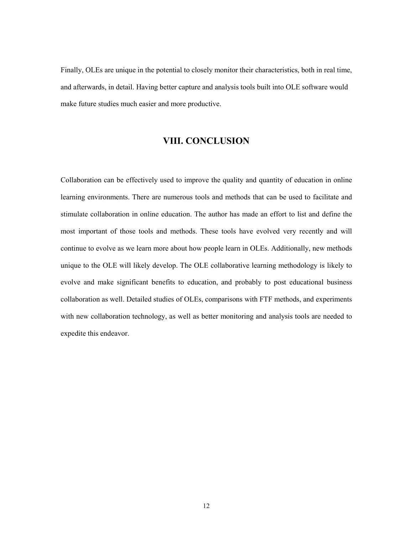Finally, OLEs are unique in the potential to closely monitor their characteristics, both in real time, and afterwards, in detail. Having better capture and analysis tools built into OLE software would make future studies much easier and more productive.

### **VIII. CONCLUSION**

Collaboration can be effectively used to improve the quality and quantity of education in online learning environments. There are numerous tools and methods that can be used to facilitate and stimulate collaboration in online education. The author has made an effort to list and define the most important of those tools and methods. These tools have evolved very recently and will continue to evolve as we learn more about how people learn in OLEs. Additionally, new methods unique to the OLE will likely develop. The OLE collaborative learning methodology is likely to evolve and make significant benefits to education, and probably to post educational business collaboration as well. Detailed studies of OLEs, comparisons with FTF methods, and experiments with new collaboration technology, as well as better monitoring and analysis tools are needed to expedite this endeavor.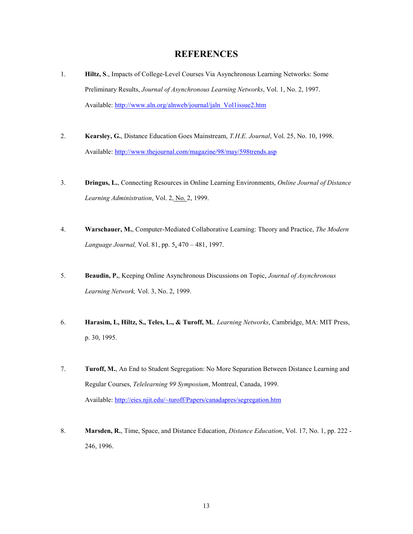## **REFERENCES**

- 1. **Hiltz, S**., Impacts of College-Level Courses Via Asynchronous Learning Networks: Some Preliminary Results, *Journal of Asynchronous Learning Networks*, Vol. 1, No. 2, 1997. Available: http://www.aln.org/alnweb/journal/jaln\_Vol1issue2.htm
- 2. **Kearsley, G.**, Distance Education Goes Mainstream, *T.H.E. Journal*, Vol. 25, No. 10, 1998. Available: http://www.thejournal.com/magazine/98/may/598trends.asp
- 3. **Dringus, L.**, Connecting Resources in Online Learning Environments, *Online Journal of Distance Learning Administration*, Vol. 2, No. 2, 1999.
- 4. **Warschauer, M.**, Computer-Mediated Collaborative Learning: Theory and Practice, *The Modern Language Journal,* Vol. 81, pp. 5, 470 – 481, 1997.
- 5. **Beaudin, P.**, Keeping Online Asynchronous Discussions on Topic, *Journal of Asynchronous Learning Network,* Vol. 3, No. 2, 1999.
- 6. **Harasim, L, Hiltz, S., Teles, L., & Turoff, M***., Learning Networks*, Cambridge, MA: MIT Press, p. 30, 1995.
- 7. **Turoff, M.**, An End to Student Segregation: No More Separation Between Distance Learning and Regular Courses, *Telelearning 99 Symposium*, Montreal, Canada, 1999. Available: http://eies.njit.edu/~turoff/Papers/canadapres/segregation.htm
- 8. **Marsden, R.**, Time, Space, and Distance Education, *Distance Education*, Vol. 17, No. 1, pp. 222 246, 1996.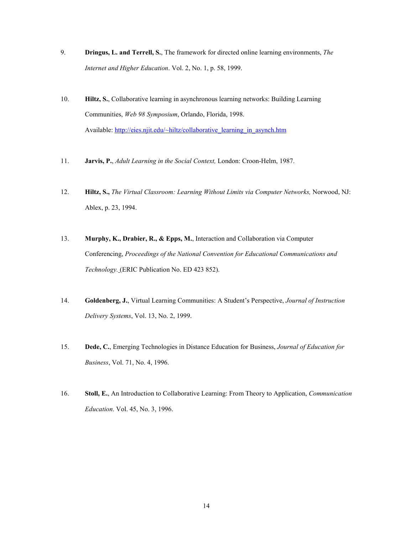- 9. **Dringus, L. and Terrell, S.**, The framework for directed online learning environments, *The Internet and Higher Education*. Vol. 2, No. 1, p. 58, 1999.
- 10. **Hiltz, S.**, Collaborative learning in asynchronous learning networks: Building Learning Communities, *Web 98 Symposium*, Orlando, Florida, 1998. Available: http://eies.njit.edu/~hiltz/collaborative\_learning\_in\_asynch.htm
- 11. **Jarvis, P.**, *Adult Learning in the Social Context,* London: Croon-Helm, 1987.
- 12. **Hiltz, S.,** *The Virtual Classroom: Learning Without Limits via Computer Networks,* Norwood, NJ: Ablex, p. 23, 1994.
- 13. **Murphy, K., Drabier, R., & Epps, M.**, Interaction and Collaboration via Computer Conferencing, *Proceedings of the National Convention for Educational Communications and Technology.* (ERIC Publication No. ED 423 852).
- 14. **Goldenberg, J.**, Virtual Learning Communities: A Student's Perspective, *Journal of Instruction Delivery Systems*, Vol. 13, No. 2, 1999.
- 15. **Dede, C.**, Emerging Technologies in Distance Education for Business, *Journal of Education for Business*, Vol. 71, No. 4, 1996.
- 16. **Stoll, E.**, An Introduction to Collaborative Learning: From Theory to Application, *Communication Education*. Vol. 45, No. 3, 1996.